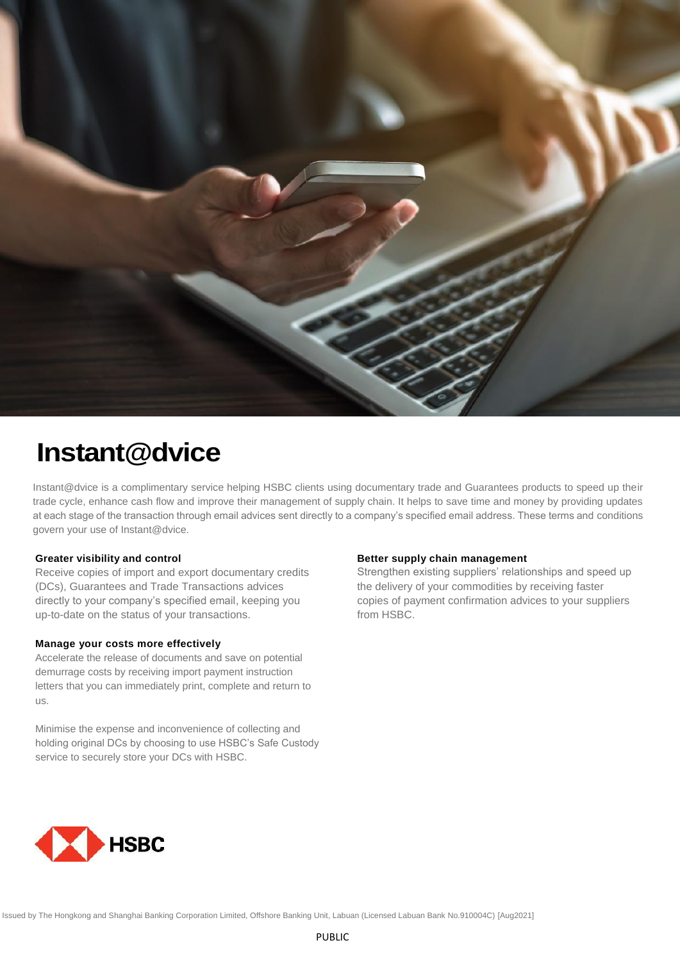

# **Instant@dvice**

Instant@dvice is a complimentary service helping HSBC clients using documentary trade and Guarantees products to speed up their trade cycle, enhance cash flow and improve their management of supply chain. It helps to save time and money by providing updates at each stage of the transaction through email advices sent directly to a company's specified email address. These terms and conditions govern your use of Instant@dvice.

## **Greater visibility and control**

Receive copies of import and export documentary credits (DCs), Guarantees and Trade Transactions advices directly to your company's specified email, keeping you up-to-date on the status of your transactions.

# **Manage your costs more effectively**

Accelerate the release of documents and save on potential demurrage costs by receiving import payment instruction letters that you can immediately print, complete and return to us.

Minimise the expense and inconvenience of collecting and holding original DCs by choosing to use HSBC's Safe Custody service to securely store your DCs with HSBC.

### **Better supply chain management**

Strengthen existing suppliers' relationships and speed up the delivery of your commodities by receiving faster copies of payment confirmation advices to your suppliers from HSBC.